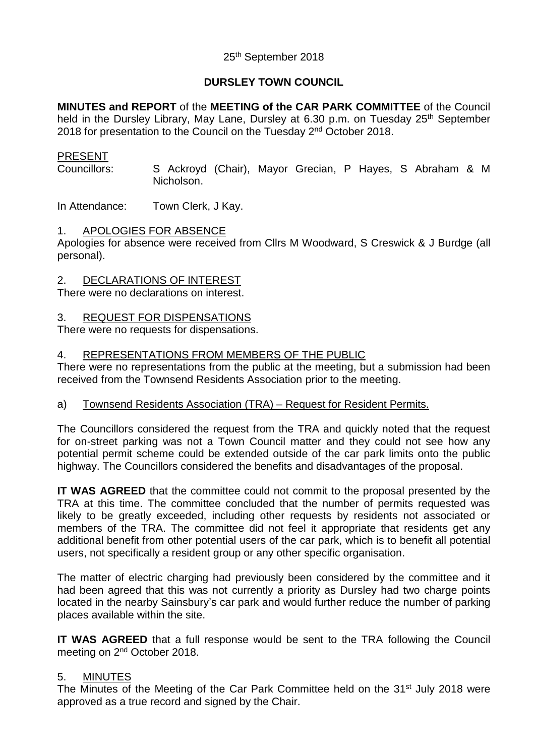## 25th September 2018

## **DURSLEY TOWN COUNCIL**

**MINUTES and REPORT** of the **MEETING of the CAR PARK COMMITTEE** of the Council held in the Dursley Library, May Lane, Dursley at 6.30 p.m. on Tuesday 25<sup>th</sup> September 2018 for presentation to the Council on the Tuesday 2<sup>nd</sup> October 2018.

## PRESENT

Councillors: S Ackroyd (Chair), Mayor Grecian, P Hayes, S Abraham & M Nicholson.

In Attendance: Town Clerk, J Kay.

### 1. APOLOGIES FOR ABSENCE

Apologies for absence were received from Cllrs M Woodward, S Creswick & J Burdge (all personal).

### 2. DECLARATIONS OF INTEREST

There were no declarations on interest.

### 3. REQUEST FOR DISPENSATIONS

There were no requests for dispensations.

### 4. REPRESENTATIONS FROM MEMBERS OF THE PUBLIC

There were no representations from the public at the meeting, but a submission had been received from the Townsend Residents Association prior to the meeting.

#### a) Townsend Residents Association (TRA) – Request for Resident Permits.

The Councillors considered the request from the TRA and quickly noted that the request for on-street parking was not a Town Council matter and they could not see how any potential permit scheme could be extended outside of the car park limits onto the public highway. The Councillors considered the benefits and disadvantages of the proposal.

**IT WAS AGREED** that the committee could not commit to the proposal presented by the TRA at this time. The committee concluded that the number of permits requested was likely to be greatly exceeded, including other requests by residents not associated or members of the TRA. The committee did not feel it appropriate that residents get any additional benefit from other potential users of the car park, which is to benefit all potential users, not specifically a resident group or any other specific organisation.

The matter of electric charging had previously been considered by the committee and it had been agreed that this was not currently a priority as Dursley had two charge points located in the nearby Sainsbury's car park and would further reduce the number of parking places available within the site.

**IT WAS AGREED** that a full response would be sent to the TRA following the Council meeting on 2<sup>nd</sup> October 2018.

## 5. MINUTES

The Minutes of the Meeting of the Car Park Committee held on the 31<sup>st</sup> July 2018 were approved as a true record and signed by the Chair.